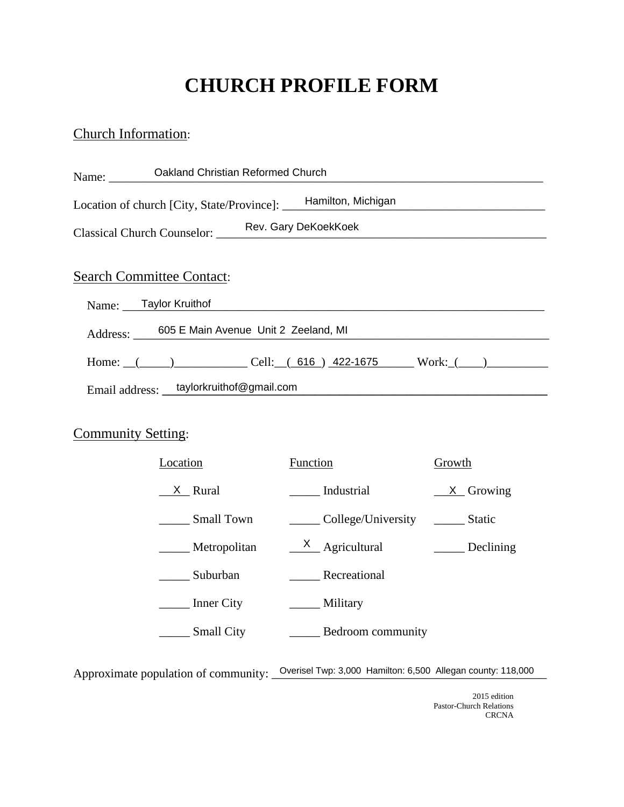# **CHURCH PROFILE FORM**

### Church Information:

| Name: | Oakland Christian Reformed Church                                                                                                                                                                                                                                                                                                     |
|-------|---------------------------------------------------------------------------------------------------------------------------------------------------------------------------------------------------------------------------------------------------------------------------------------------------------------------------------------|
|       | Location of church [City, State/Province]: Hamilton, Michigan                                                                                                                                                                                                                                                                         |
|       | Classical Church Counselor: Rev. Gary DeKoekKoek                                                                                                                                                                                                                                                                                      |
|       | <b>Search Committee Contact:</b><br>Name: Taylor Kruithof                                                                                                                                                                                                                                                                             |
|       | Address: _ 605 E Main Avenue Unit 2 Zeeland, MI                                                                                                                                                                                                                                                                                       |
|       | Home: $($ ( $)$ $)$ $\qquad$ $\qquad$ $\qquad$ $\qquad$ $\qquad$ $\qquad$ $\qquad$ $\qquad$ $\qquad$ $\qquad$ $\qquad$ $\qquad$ $\qquad$ $\qquad$ $\qquad$ $\qquad$ $\qquad$ $\qquad$ $\qquad$ $\qquad$ $\qquad$ $\qquad$ $\qquad$ $\qquad$ $\qquad$ $\qquad$ $\qquad$ $\qquad$ $\qquad$ $\qquad$ $\qquad$ $\qquad$ $\qquad$ $\qquad$ |
|       | Email address: taylorkruithof@gmail.com                                                                                                                                                                                                                                                                                               |

### **Community Setting:**

| Location          | Function           | Growth        |  |
|-------------------|--------------------|---------------|--|
| X.<br>Rural       | Industrial         | $X$ Growing   |  |
| <b>Small Town</b> | College/University | <b>Static</b> |  |
| Metropolitan      | $X$ Agricultural   | Declining     |  |
| Suburban          | Recreational       |               |  |
| <b>Inner City</b> | Military           |               |  |
| <b>Small City</b> | Bedroom community  |               |  |

Approximate population of community: <u>Overisel Twp: 3,000 Hamilton: 6,500 Allegan county: 118,000</u>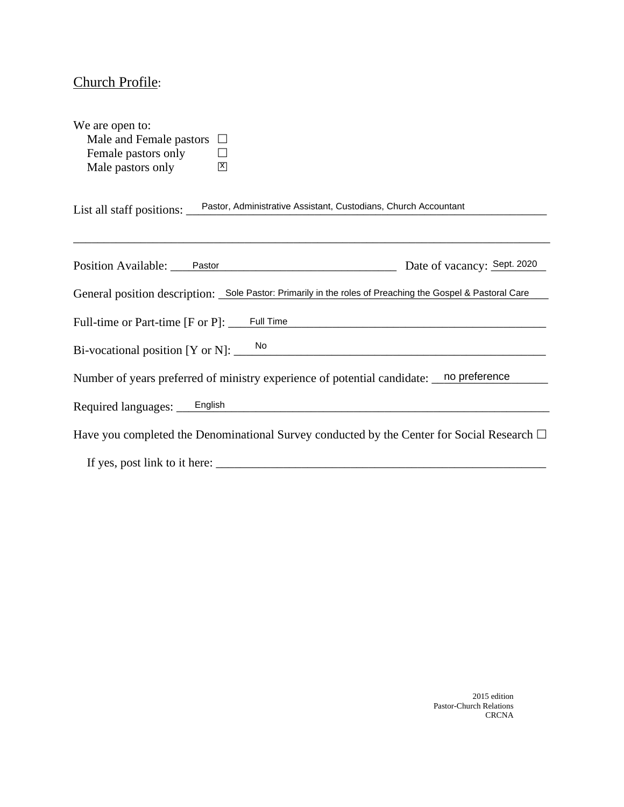# Church Profile:

| We are open to:                                                                                           |                                                                                                 |
|-----------------------------------------------------------------------------------------------------------|-------------------------------------------------------------------------------------------------|
| Male and Female pastors $\Box$                                                                            |                                                                                                 |
| Female pastors only                                                                                       |                                                                                                 |
| Male pastors only<br>$\mathbb{E}$                                                                         |                                                                                                 |
| List all staff positions: Pastor, Administrative Assistant, Custodians, Church Accountant                 |                                                                                                 |
| Position Available: Pastor Pastor Date of vacancy: Sept. 2020                                             |                                                                                                 |
| General position description: Sole Pastor: Primarily in the roles of Preaching the Gospel & Pastoral Care |                                                                                                 |
| Full-time or Part-time [F or P]: Full Time                                                                |                                                                                                 |
| Bi-vocational position [Y or N]: ____                                                                     | $\frac{1}{2}$                                                                                   |
| Number of years preferred of ministry experience of potential candidate: no preference                    |                                                                                                 |
| Required languages: English English English English                                                       |                                                                                                 |
|                                                                                                           | Have you completed the Denominational Survey conducted by the Center for Social Research $\Box$ |
| If yes, post link to it here:                                                                             |                                                                                                 |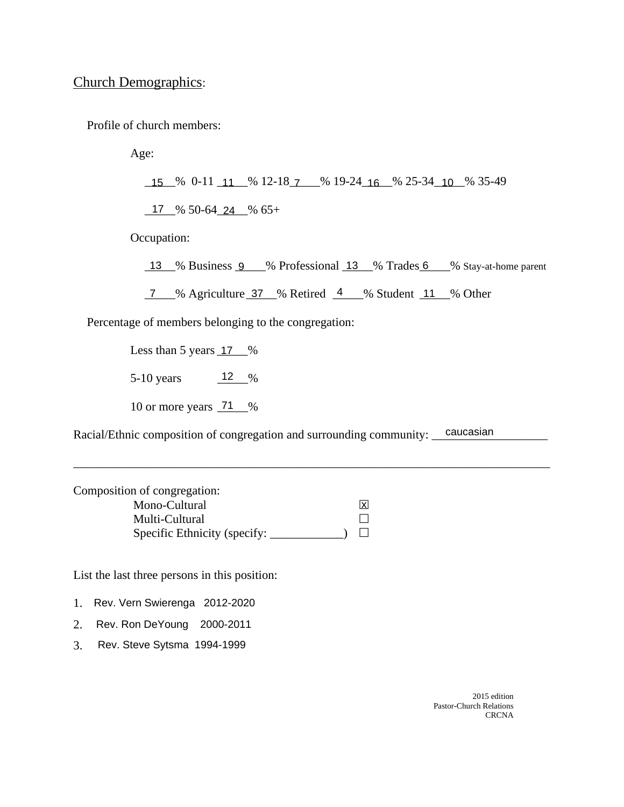#### Church Demographics:

Profile of church members:

Age:

<u>15 % 0-11 11 % 12-18 7 % 19-24 16 % 25-34 10 % 35-49</u>

 $\underline{17}$  % 50-64 24 % 65+

Occupation:

13 % Business 9 % Professional 13 % Trades 6 % Stay-at-home parent

7 % Agriculture 37 % Retired 4 % Student 11 % Other

Percentage of members belonging to the congregation:

Less than 5 years  $17 \degree$ %

5-10 years  $12 \frac{ }{8}$ 17<br>12<br>71

10 or more years  $\frac{71}{8}$ %

Racial/Ethnic composition of congregation and surrounding community: <u>caucasian</u>

\_\_\_\_\_\_\_\_\_\_\_\_\_\_\_\_\_\_\_\_\_\_\_\_\_\_\_\_\_\_\_\_\_\_\_\_\_\_\_\_\_\_\_\_\_\_\_\_\_\_\_\_\_\_\_\_\_\_\_\_\_\_\_\_\_\_\_\_\_\_\_\_\_\_\_\_\_\_

Composition of congregation: Mono-Cultural Multi-Cultural Specific Ethnicity (specify: \_\_\_\_\_\_\_\_\_\_\_) x

List the last three persons in this position:

1. Rev. Vern Swierenga 2012-2020

2. Rev. Ron DeYoung 2000-2011

3. Rev. Steve Sytsma 1994-1999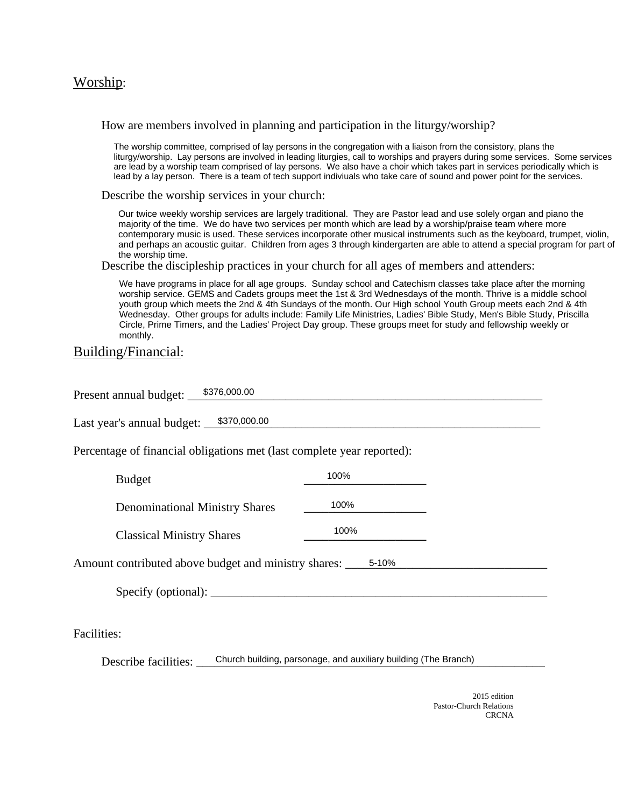#### Worship:

How are members involved in planning and participation in the liturgy/worship?

The worship committee, comprised of lay persons in the congregation with a liaison from the consistory, plans the liturgy/worship. Lay persons are involved in leading liturgies, call to worships and prayers during some services. Some services are lead by a worship team comprised of lay persons. We also have a choir which takes part in services periodically which is lead by a lay person. There is a team of tech support indiviuals who take care of sound and power point for the services.

Describe the worship services in your church:

Our twice weekly worship services are largely traditional. They are Pastor lead and use solely organ and piano the majority of the time. We do have two services per month which are lead by a worship/praise team where more contemporary music is used. These services incorporate other musical instruments such as the keyboard, trumpet, violin, and perhaps an acoustic guitar. Children from ages 3 through kindergarten are able to attend a special program for part of the worship time.

Describe the discipleship practices in your church for all ages of members and attenders:

We have programs in place for all age groups. Sunday school and Catechism classes take place after the morning worship service. GEMS and Cadets groups meet the 1st & 3rd Wednesdays of the month. Thrive is a middle school youth group which meets the 2nd & 4th Sundays of the month. Our High school Youth Group meets each 2nd & 4th Wednesday. Other groups for adults include: Family Life Ministries, Ladies' Bible Study, Men's Bible Study, Priscilla Circle, Prime Timers, and the Ladies' Project Day group. These groups meet for study and fellowship weekly or monthly.

#### Building/Financial:

| \$376,000.00<br>Present annual budget:                                 |                                                                 |  |
|------------------------------------------------------------------------|-----------------------------------------------------------------|--|
| Last year's annual budget: \$370,000.00                                |                                                                 |  |
| Percentage of financial obligations met (last complete year reported): |                                                                 |  |
| <b>Budget</b>                                                          | 100%                                                            |  |
| <b>Denominational Ministry Shares</b>                                  | 100%                                                            |  |
| <b>Classical Ministry Shares</b>                                       | 100%                                                            |  |
| Amount contributed above budget and ministry shares: ______ 5-10%      |                                                                 |  |
| $\text{Specify}(\text{optional}):$                                     |                                                                 |  |
|                                                                        |                                                                 |  |
| Facilities:                                                            |                                                                 |  |
| Describe facilities:                                                   | Church building, parsonage, and auxiliary building (The Branch) |  |
|                                                                        |                                                                 |  |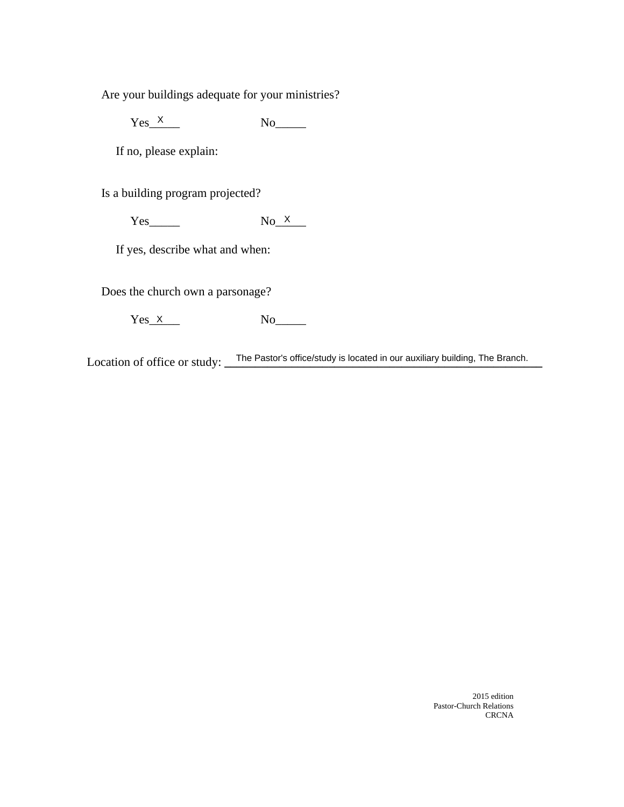Are your buildings adequate for your ministries?

 $Yes\_ \times$  No

If no, please explain:

Is a building program projected?

Yes\_\_\_\_\_ No\_\_\_\_\_  $No<sub>x</sub>$ 

If yes, describe what and when:

Does the church own a parsonage?

 $Yes\_X$  No

Location of office or study: The Pastor's office/study is located in our auxiliary building, The Branch.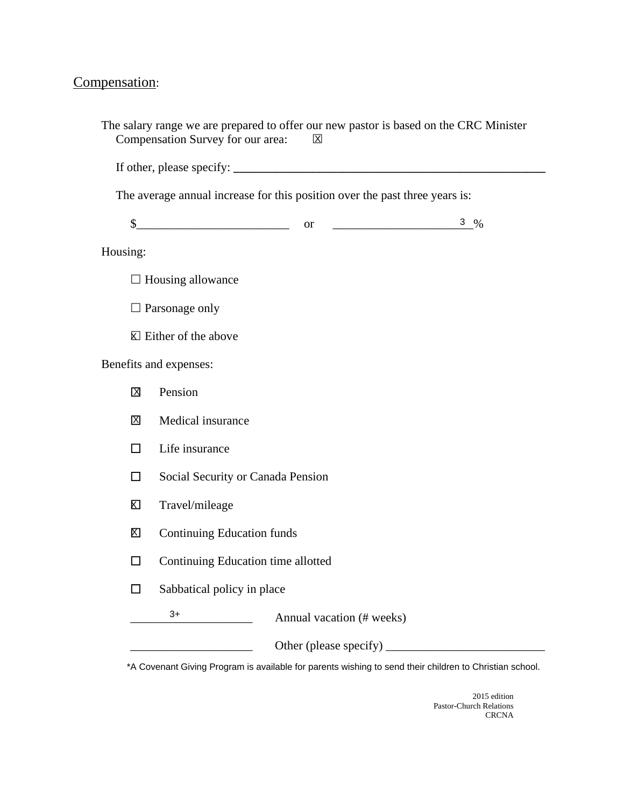# Compensation:

|             | Compensation Survey for our area:  | $\boxtimes$                                                                 | The salary range we are prepared to offer our new pastor is based on the CRC Minister |  |  |  |
|-------------|------------------------------------|-----------------------------------------------------------------------------|---------------------------------------------------------------------------------------|--|--|--|
|             |                                    |                                                                             |                                                                                       |  |  |  |
|             |                                    | The average annual increase for this position over the past three years is: |                                                                                       |  |  |  |
|             |                                    | $\frac{\text{S}}{\text{S}}$ or $\frac{\text{S}}{\text{S}}$ or               | 3 $%$                                                                                 |  |  |  |
| Housing:    |                                    |                                                                             |                                                                                       |  |  |  |
|             | $\Box$ Housing allowance           |                                                                             |                                                                                       |  |  |  |
|             | $\Box$ Parsonage only              |                                                                             |                                                                                       |  |  |  |
|             | $\boxtimes$ Either of the above    |                                                                             |                                                                                       |  |  |  |
|             | Benefits and expenses:             |                                                                             |                                                                                       |  |  |  |
| $\mathbf X$ | Pension                            |                                                                             |                                                                                       |  |  |  |
| 区           | Medical insurance                  |                                                                             |                                                                                       |  |  |  |
| $\perp$     | Life insurance                     |                                                                             |                                                                                       |  |  |  |
| П           | Social Security or Canada Pension  |                                                                             |                                                                                       |  |  |  |
| K           | Travel/mileage                     |                                                                             |                                                                                       |  |  |  |
| X           | <b>Continuing Education funds</b>  |                                                                             |                                                                                       |  |  |  |
| - 1         | Continuing Education time allotted |                                                                             |                                                                                       |  |  |  |
|             | Sabbatical policy in place         |                                                                             |                                                                                       |  |  |  |
|             | $3+$                               | Annual vacation (# weeks)                                                   |                                                                                       |  |  |  |
|             |                                    |                                                                             |                                                                                       |  |  |  |

\*A Covenant Giving Program is available for parents wishing to send their children to Christian school.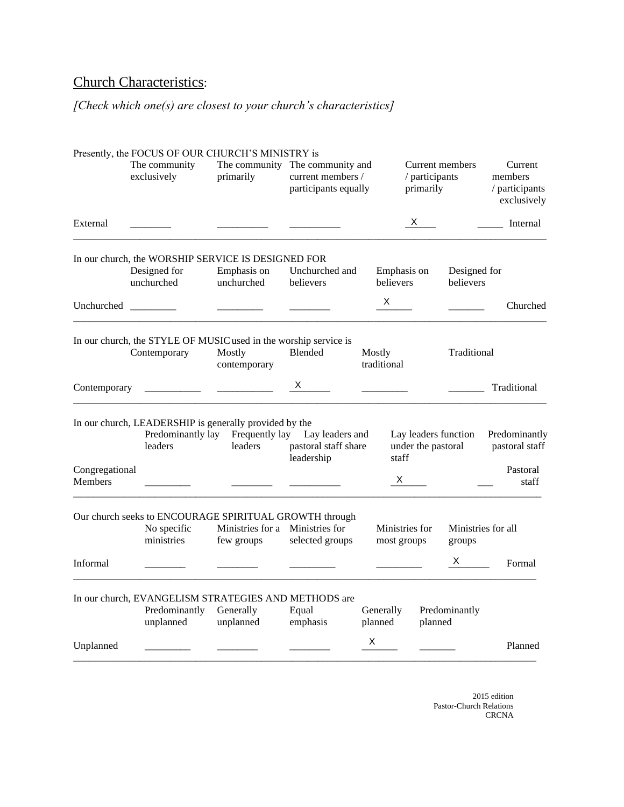# Church Characteristics:

### *[Check which one(s) are closest to your church's characteristics]*

|                | Presently, the FOCUS OF OUR CHURCH'S MINISTRY is                                    |                                               |                                                                                        |                                                     |                                                     |
|----------------|-------------------------------------------------------------------------------------|-----------------------------------------------|----------------------------------------------------------------------------------------|-----------------------------------------------------|-----------------------------------------------------|
|                | The community<br>exclusively                                                        | primarily                                     | The community The community and<br>current members /<br>participants equally           | Current members<br>/ participants<br>primarily      | Current<br>members<br>/ participants<br>exclusively |
| External       |                                                                                     |                                               |                                                                                        | $X \sim$                                            | Internal                                            |
|                | In our church, the WORSHIP SERVICE IS DESIGNED FOR                                  |                                               |                                                                                        |                                                     |                                                     |
|                | Designed for<br>unchurched                                                          | Emphasis on<br>unchurched                     | Unchurched and<br>believers                                                            | Emphasis on<br>believers                            | Designed for<br>believers                           |
|                |                                                                                     |                                               |                                                                                        | X                                                   | Churched                                            |
|                | In our church, the STYLE OF MUSIC used in the worship service is<br>Contemporary    | Mostly<br>contemporary                        | Blended                                                                                | Mostly<br>traditional                               | Traditional                                         |
| Contemporary   |                                                                                     |                                               | X.                                                                                     |                                                     | Traditional                                         |
| Congregational | In our church, LEADERSHIP is generally provided by the<br>leaders                   | leaders                                       | Predominantly lay Frequently lay Lay leaders and<br>pastoral staff share<br>leadership | Lay leaders function<br>under the pastoral<br>staff | Predominantly<br>pastoral staff<br>Pastoral         |
| Members        |                                                                                     |                                               |                                                                                        | $\mathsf{X}$                                        | staff                                               |
|                | Our church seeks to ENCOURAGE SPIRITUAL GROWTH through<br>No specific<br>ministries | Ministries for a Ministries for<br>few groups | selected groups                                                                        | Ministries for<br>most groups                       | Ministries for all<br>groups                        |
| Informal       |                                                                                     |                                               |                                                                                        |                                                     | $x \sim$<br>Formal                                  |
|                | In our church, EVANGELISM STRATEGIES AND METHODS are<br>Predominantly<br>unplanned  | Generally<br>unplanned                        | Equal<br>emphasis                                                                      | Generally<br>planned<br>planned                     | Predominantly                                       |
| Unplanned      |                                                                                     |                                               |                                                                                        | X                                                   | Planned                                             |
|                |                                                                                     |                                               |                                                                                        |                                                     |                                                     |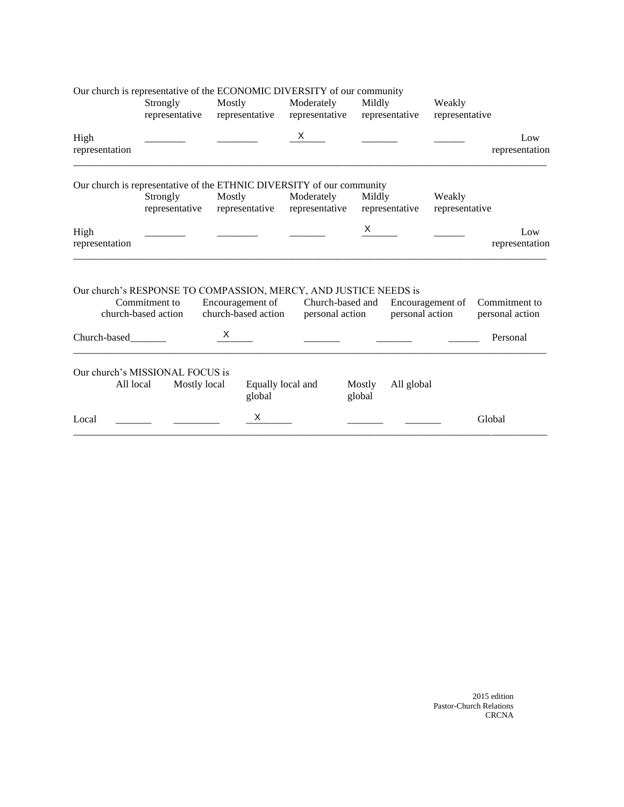|                        | Our church is representative of the ECONOMIC DIVERSITY of our community                                  |                                         |                              |                  |                 |                          |                                  |
|------------------------|----------------------------------------------------------------------------------------------------------|-----------------------------------------|------------------------------|------------------|-----------------|--------------------------|----------------------------------|
|                        | Strongly                                                                                                 | Mostly                                  | Moderately                   | Mildly           |                 | Weakly                   |                                  |
|                        | representative                                                                                           | representative                          | representative               |                  | representative  | representative           |                                  |
| High                   |                                                                                                          |                                         | X                            |                  |                 |                          | Low                              |
| representation         |                                                                                                          |                                         |                              |                  |                 |                          | representation                   |
|                        | Our church is representative of the ETHNIC DIVERSITY of our community                                    |                                         |                              |                  |                 |                          |                                  |
|                        | Strongly<br>representative                                                                               | Mostly<br>representative                | Moderately<br>representative | Mildly           | representative  | Weakly<br>representative |                                  |
| High<br>representation |                                                                                                          |                                         |                              | $\times$         |                 |                          | Low<br>representation            |
|                        | Our church's RESPONSE TO COMPASSION, MERCY, AND JUSTICE NEEDS is<br>Commitment to<br>church-based action | Encouragement of<br>church-based action | personal action              | Church-based and | personal action | Encouragement of         | Commitment to<br>personal action |
| Church-based           |                                                                                                          | X.                                      |                              |                  |                 |                          | Personal                         |
|                        | Our church's MISSIONAL FOCUS is                                                                          |                                         |                              |                  |                 |                          |                                  |
| All local              | Mostly local                                                                                             | global                                  | Equally local and            | Mostly<br>global | All global      |                          |                                  |
| Local                  |                                                                                                          | X                                       |                              |                  |                 |                          | Global                           |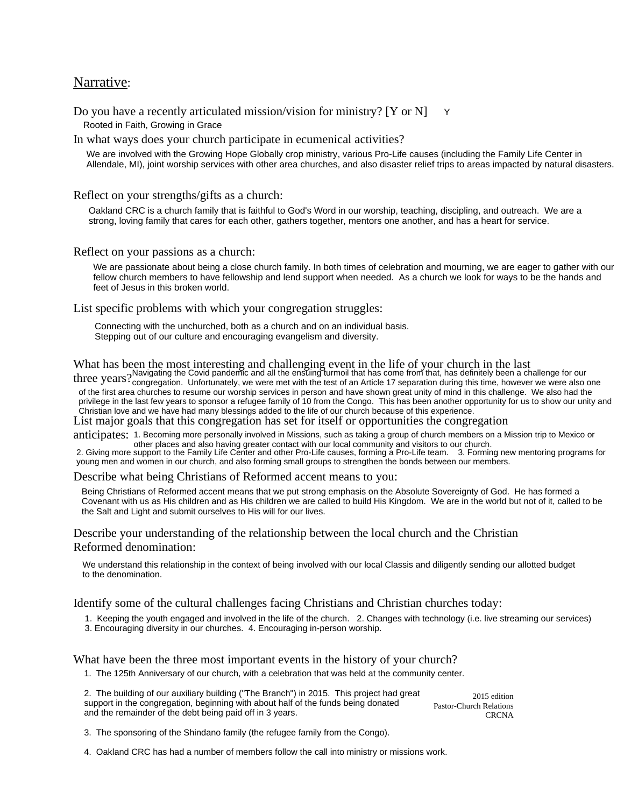#### Narrative:

Do you have a recently articulated mission/vision for ministry? [Y or N] Y Rooted in Faith, Growing in Grace

In what ways does your church participate in ecumenical activities?

We are involved with the Growing Hope Globally crop ministry, various Pro-Life causes (including the Family Life Center in Allendale, MI), joint worship services with other area churches, and also disaster relief trips to areas impacted by natural disasters.

Reflect on your strengths/gifts as a church:

Oakland CRC is a church family that is faithful to God's Word in our worship, teaching, discipling, and outreach. We are a strong, loving family that cares for each other, gathers together, mentors one another, and has a heart for service.

Reflect on your passions as a church:

We are passionate about being a close church family. In both times of celebration and mourning, we are eager to gather with our fellow church members to have fellowship and lend support when needed. As a church we look for ways to be the hands and feet of Jesus in this broken world.

List specific problems with which your congregation struggles:

Connecting with the unchurched, both as a church and on an individual basis. Stepping out of our culture and encouraging evangelism and diversity.

What has been the most interesting and challenging event in the life of your church in the last

three years? Navigating the Covid pandemic and all the ensuing turmoil that has come from that, has definitely been a challenge for our<br>Three years? <sub>congregation.</sub> Unfortunately, we were met with the test of an Article 17 congregation. Unfortunately, we were met with the test of an Article 17 separation during this time, however we were also one of the first area churches to resume our worship services in person and have shown great unity of mind in this challenge. We also had the privilege in the last few years to sponsor a refugee family of 10 from the Congo. This has been another opportunity for us to show our unity and Christian love and we have had many blessings added to the life of our church because of this experience.

List major goals that this congregation has set for itself or opportunities the congregation

anticipates: 1. Becoming more personally involved in Missions, such as taking a group of church members on a Mission trip to Mexico or other places and also having greater contact with our local community and visitors to our church.

2. Giving more support to the Family Life Center and other Pro-Life causes, forming a Pro-Life team. 3. Forming new mentoring programs for young men and women in our church, and also forming small groups to strengthen the bonds between our members.

Describe what being Christians of Reformed accent means to you:

Being Christians of Reformed accent means that we put strong emphasis on the Absolute Sovereignty of God. He has formed a Covenant with us as His children and as His children we are called to build His Kingdom. We are in the world but not of it, called to be the Salt and Light and submit ourselves to His will for our lives.

Describe your understanding of the relationship between the local church and the Christian Reformed denomination:

We understand this relationship in the context of being involved with our local Classis and diligently sending our allotted budget to the denomination.

Identify some of the cultural challenges facing Christians and Christian churches today:

- 1. Keeping the youth engaged and involved in the life of the church. 2. Changes with technology (i.e. live streaming our services)
- 3. Encouraging diversity in our churches. 4. Encouraging in-person worship.

What have been the three most important events in the history of your church?

1. The 125th Anniversary of our church, with a celebration that was held at the community center.

2015 edition Pastor-Church Relations **CRCNA** 2. The building of our auxiliary building ("The Branch") in 2015. This project had great support in the congregation, beginning with about half of the funds being donated and the remainder of the debt being paid off in 3 years.

3. The sponsoring of the Shindano family (the refugee family from the Congo).

4. Oakland CRC has had a number of members follow the call into ministry or missions work.